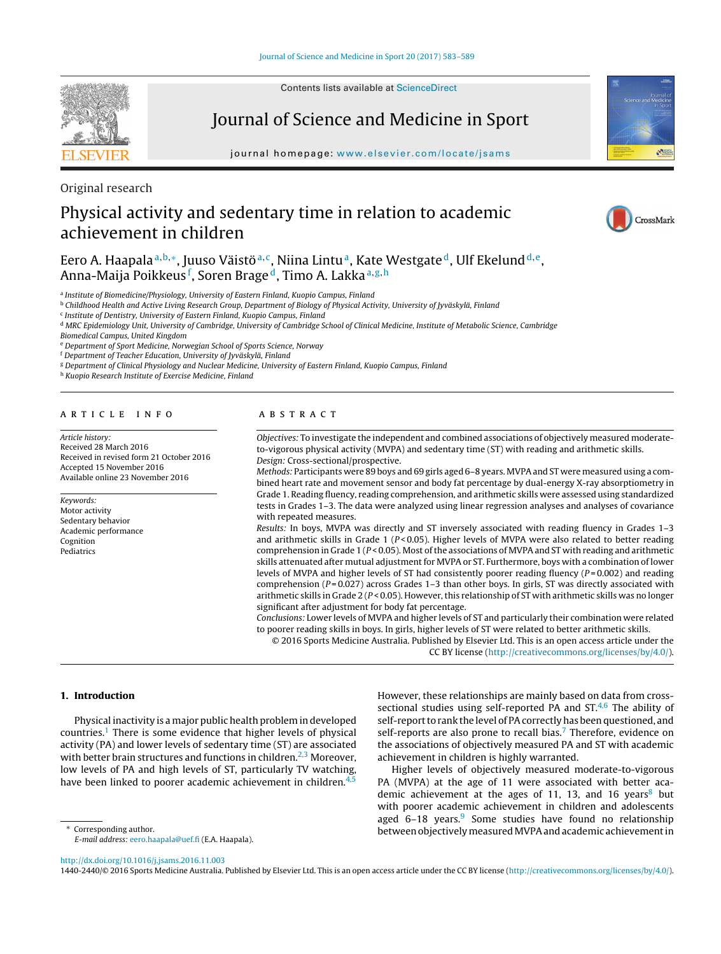Contents lists available at [ScienceDirect](http://www.sciencedirect.com/science/journal/14402440)

# Journal of Science and Medicine in Sport

journal homepage: [www.elsevier.com/locate/jsams](http://www.elsevier.com/locate/jsams)

Original research

# Physical activity and sedentary time in relation to academic achievement in children

Eero A. Haapala<sup>a, b,</sup>\*, Juuso Väistö<sup>a, c</sup>, Niina Lintu<sup>a</sup>, Kate Westgate<sup>d</sup>, Ulf Ekelund<sup>d, e</sup>, Anna-Maija Poikkeus<sup>f</sup>, Soren Brage<sup>d</sup>, Timo A. Lakka <sup>a,g,h</sup>

a Institute of Biomedicine/Physiology, University of Eastern Finland, Kuopio Campus, Finland

<sup>b</sup> Childhood Health and Active Living Research Group, Department of Biology of Physical Activity, University of Jyväskylä, Finland

<sup>c</sup> Institute of Dentistry, University of Eastern Finland, Kuopio Campus, Finland

<sup>d</sup> MRC Epidemiology Unit, University of Cambridge, University of Cambridge School of Clinical Medicine, Institute of Metabolic Science, Cambridge Biomedical Campus, United Kingdom

<sup>e</sup> Department of Sport Medicine, Norwegian School of Sports Science, Norway

<sup>f</sup> Department of Teacher Education, University of Jyväskylä, Finland

<sup>g</sup> Department of Clinical Physiology and Nuclear Medicine, University of Eastern Finland, Kuopio Campus, Finland

<sup>h</sup> Kuopio Research Institute of Exercise Medicine, Finland

#### a r t i c l e i n f o

Article history: Received 28 March 2016 Received in revised form 21 October 2016 Accepted 15 November 2016 Available online 23 November 2016

Keywords: Motor activity Sedentary behavior Academic performance Cognition Pediatrics

# A B S T R A C T

Objectives: To investigate the independent and combined associations of objectively measured moderateto-vigorous physical activity (MVPA) and sedentary time (ST) with reading and arithmetic skills. Design: Cross-sectional/prospective.

Methods: Participants were 89 boys and 69 girls aged 6-8 years. MVPA and ST were measured using a combined heart rate and movement sensor and body fat percentage by dual-energy X-ray absorptiometry in Grade 1. Reading fluency, reading comprehension, and arithmetic skills were assessed using standardized tests in Grades 1–3. The data were analyzed using linear regression analyses and analyses of covariance with repeated measures.

Results: In boys, MVPA was directly and ST inversely associated with reading fluency in Grades 1–3 and arithmetic skills in Grade 1 ( $P < 0.05$ ). Higher levels of MVPA were also related to better reading comprehension in Grade 1 ( $P < 0.05$ ). Most of the associations of MVPA and ST with reading and arithmetic skills attenuated after mutual adjustment for MVPA or ST. Furthermore, boys with a combination of lower levels of MVPA and higher levels of ST had consistently poorer reading fluency ( $P = 0.002$ ) and reading comprehension ( $P = 0.027$ ) across Grades 1-3 than other boys. In girls, ST was directly associated with arithmetic skills in Grade 2 ( $P < 0.05$ ). However, this relationship of ST with arithmetic skills was no longer significant after adjustment for body fat percentage.

Conclusions: Lower levels of MVPA and higher levels of ST and particularly their combination were related to poorer reading skills in boys. In girls, higher levels of ST were related to better arithmetic skills.

© 2016 Sports Medicine Australia. Published by Elsevier Ltd. This is an open access article under the

CC BY license [\(http://creativecommons.org/licenses/by/4.0/](http://creativecommons.org/licenses/by/4.0/)).

#### **1. Introduction**

Physical inactivity is a major public health problem in developed countries.<sup>1</sup> There is some evidence that higher levels of physical activity (PA) and lower levels of sedentary time (ST) are associated with better brain structures and functions in children.<sup>2,3</sup> Moreover, low levels of PA and high levels of ST, particularly TV watching, have been linked to poorer academic achievement in children. $4$ ,

∗ Corresponding author.

E-mail address: [eero.haapala@uef.fi](mailto:eero.haapala@uef.fi) (E.A. Haapala).

However, these relationships are mainly based on data from crosssectional studies using self-reported PA and ST.<sup>4,6</sup> The ability of self-report to rank the level of PA correctly has been questioned, and self-reports are also prone to recall bias.<sup>[7](#page-6-0)</sup> Therefore, evidence on the associations of objectively measured PA and ST with academic achievement in children is highly warranted.

Higher levels of objectively measured moderate-to-vigorous PA (MVPA) at the age of 11 were associated with better academic achievement at the ages of 11, 13, and 16 years<sup>8</sup> but with poorer academic achievement in children and adolescents aged  $6-18$  years.<sup>[9](#page-6-0)</sup> Some studies have found no relationship between objectively measured MVPA and academic achievement in

[http://dx.doi.org/10.1016/j.jsams.2016.11.003](dx.doi.org/10.1016/j.jsams.2016.11.003)

1440-2440/© 2016 Sports Medicine Australia. Published by Elsevier Ltd. This is an open access article under the CC BY license ([http://creativecommons.org/licenses/by/4.0/\)](http://creativecommons.org/licenses/by/4.0/).



CrossMark

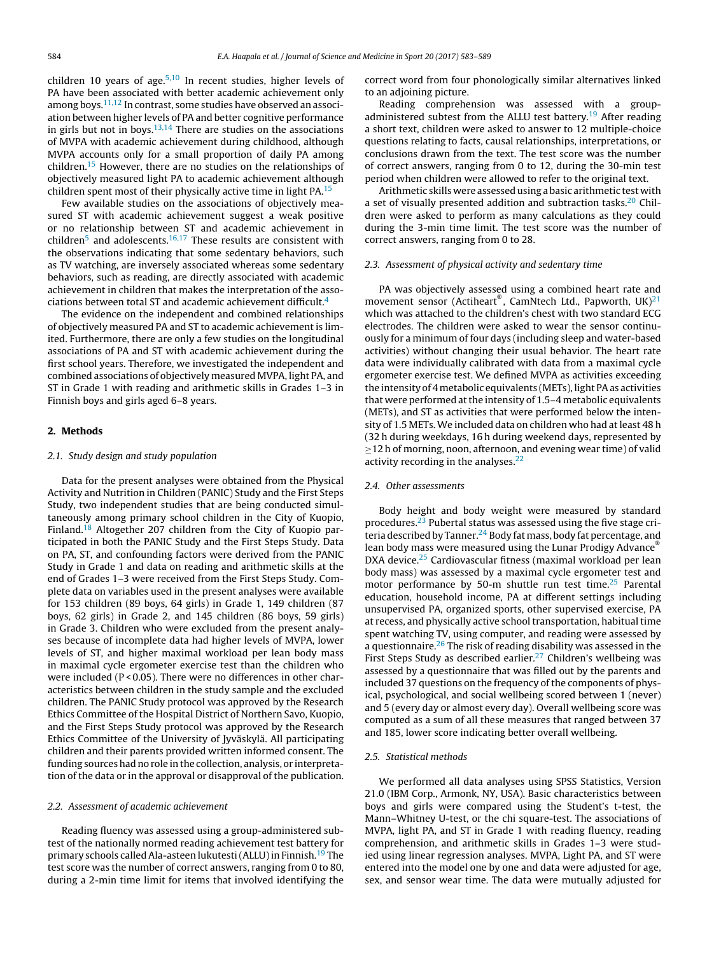children 10 years of age.<sup>[5,10](#page-6-0)</sup> In recent studies, higher levels of PA have been associated with better academic achievement only among boys. $11,12$  In contrast, some studies have observed an association between higher levels of PA and better cognitive performance in girls but not in boys.<sup>[13,14](#page-6-0)</sup> There are studies on the associations of MVPA with academic achievement during childhood, although MVPA accounts only for a small proportion of daily PA among children.[15](#page-6-0) However, there are no studies on the relationships of objectively measured light PA to academic achievement although children spent most of their physically active time in light PA[.15](#page-6-0)

Few available studies on the associations of objectively measured ST with academic achievement suggest a weak positive or no relationship between ST and academic achievement in children<sup>[5](#page-6-0)</sup> and adolescents.<sup>[16,17](#page-6-0)</sup> These results are consistent with the observations indicating that some sedentary behaviors, such as TV watching, are inversely associated whereas some sedentary behaviors, such as reading, are directly associated with academic achievement in children that makes the interpretation of the associations between total ST and academic achievement difficult[.4](#page-6-0)

The evidence on the independent and combined relationships of objectively measured PA and ST to academic achievement is limited. Furthermore, there are only a few studies on the longitudinal associations of PA and ST with academic achievement during the first school years. Therefore, we investigated the independent and combined associations of objectively measured MVPA, light PA, and ST in Grade 1 with reading and arithmetic skills in Grades 1–3 in Finnish boys and girls aged 6–8 years.

### **2. Methods**

# 2.1. Study design and study population

Data for the present analyses were obtained from the Physical Activity and Nutrition in Children (PANIC) Study and the First Steps Study, two independent studies that are being conducted simultaneously among primary school children in the City of Kuopio, Finland[.18](#page-6-0) Altogether 207 children from the City of Kuopio participated in both the PANIC Study and the First Steps Study. Data on PA, ST, and confounding factors were derived from the PANIC Study in Grade 1 and data on reading and arithmetic skills at the end of Grades 1–3 were received from the First Steps Study. Complete data on variables used in the present analyses were available for 153 children (89 boys, 64 girls) in Grade 1, 149 children (87 boys, 62 girls) in Grade 2, and 145 children (86 boys, 59 girls) in Grade 3. Children who were excluded from the present analyses because of incomplete data had higher levels of MVPA, lower levels of ST, and higher maximal workload per lean body mass in maximal cycle ergometer exercise test than the children who were included (P < 0.05). There were no differences in other characteristics between children in the study sample and the excluded children. The PANIC Study protocol was approved by the Research Ethics Committee of the Hospital District of Northern Savo, Kuopio, and the First Steps Study protocol was approved by the Research Ethics Committee of the University of Jyväskylä. All participating children and their parents provided written informed consent. The funding sources had no role in the collection, analysis, or interpretation of the data or in the approval or disapproval of the publication.

#### 2.2. Assessment of academic achievement

Reading fluency was assessed using a group-administered subtest of the nationally normed reading achievement test battery for primary schools called Ala-asteen lukutesti (ALLU) in Finnish.<sup>19</sup> The test score was the number of correct answers, ranging from 0 to 80, during a 2-min time limit for items that involved identifying the correct word from four phonologically similar alternatives linked to an adjoining picture.

Reading comprehension was assessed with a groupadministered subtest from the ALLU test battery.<sup>19</sup> After reading a short text, children were asked to answer to 12 multiple-choice questions relating to facts, causal relationships, interpretations, or conclusions drawn from the text. The test score was the number of correct answers, ranging from 0 to 12, during the 30-min test period when children were allowed to refer to the original text.

Arithmetic skills were assessedusing a basic arithmetic test with a set of visually presented addition and subtraction tasks.<sup>20</sup> Children were asked to perform as many calculations as they could during the 3-min time limit. The test score was the number of correct answers, ranging from 0 to 28.

#### 2.3. Assessment of physical activity and sedentary time

PA was objectively assessed using a combined heart rate and movement sensor (Actiheart®, CamNtech Ltd., Papworth, UK)<sup>21</sup> which was attached to the children's chest with two standard ECG electrodes. The children were asked to wear the sensor continuously for a minimum of four days (including sleep and water-based activities) without changing their usual behavior. The heart rate data were individually calibrated with data from a maximal cycle ergometer exercise test. We defined MVPA as activities exceeding the intensity of 4 metabolic equivalents (METs), light PA as activities that were performed atthe intensity of 1.5–4 metabolic equivalents (METs), and ST as activities that were performed below the intensity of 1.5 METs. We included data on children who had at least 48 h (32 h during weekdays, 16 h during weekend days, represented by ≥12 h of morning, noon, afternoon, and evening wear time) of valid activity recording in the analyses. $22$ 

### 2.4. Other assessments

Body height and body weight were measured by standard procedures.<sup>23</sup> Pubertal status was assessed using the five stage cri-teria described by Tanner.<sup>[24](#page-6-0)</sup> Body fat mass, body fat percentage, and lean body mass were measured using the Lunar Prodigy Advance® DXA device.<sup>25</sup> Cardiovascular fitness (maximal workload per lean body mass) was assessed by a maximal cycle ergometer test and motor performance by 50-m shuttle run test time.<sup>25</sup> Parental education, household income, PA at different settings including unsupervised PA, organized sports, other supervised exercise, PA at recess, and physically active school transportation, habitual time spent watching TV, using computer, and reading were assessed by a questionnaire.<sup>26</sup> The risk of reading disability was assessed in the First Steps Study as described earlier.<sup>27</sup> Children's wellbeing was assessed by a questionnaire that was filled out by the parents and included 37 questions on the frequency of the components of physical, psychological, and social wellbeing scored between 1 (never) and 5 (every day or almost every day). Overall wellbeing score was computed as a sum of all these measures that ranged between 37 and 185, lower score indicating better overall wellbeing.

#### 2.5. Statistical methods

We performed all data analyses using SPSS Statistics, Version 21.0 (IBM Corp., Armonk, NY, USA). Basic characteristics between boys and girls were compared using the Student's t-test, the Mann–Whitney U-test, or the chi square-test. The associations of MVPA, light PA, and ST in Grade 1 with reading fluency, reading comprehension, and arithmetic skills in Grades 1–3 were studied using linear regression analyses. MVPA, Light PA, and ST were entered into the model one by one and data were adjusted for age, sex, and sensor wear time. The data were mutually adjusted for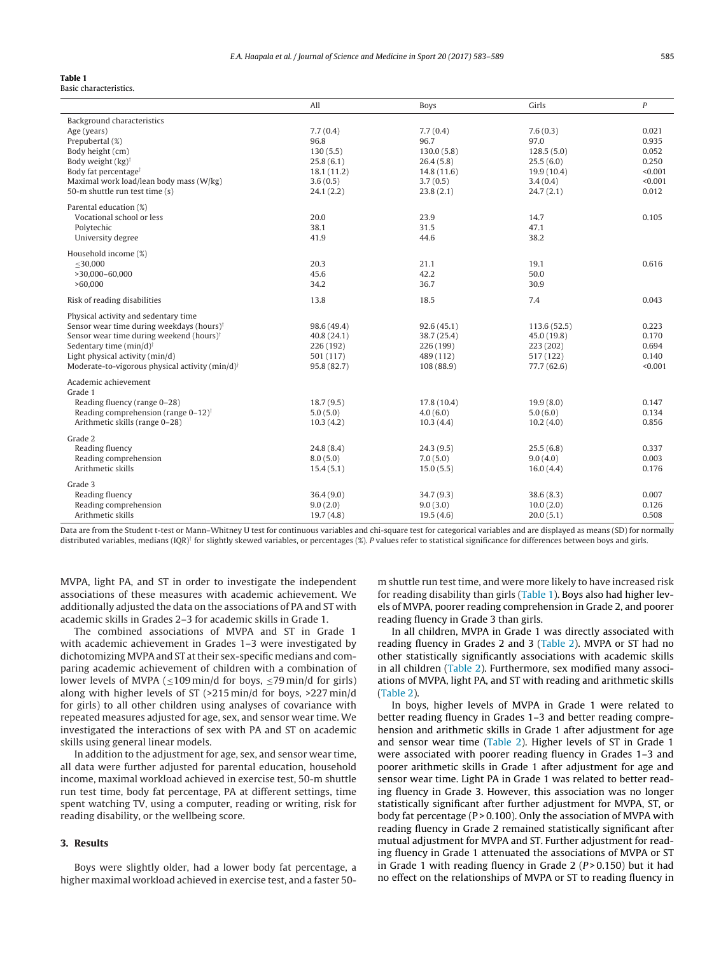#### **Table 1** Basic characteristics.

|                                                                             | All                    | <b>Boys</b>            | Girls                  | P              |
|-----------------------------------------------------------------------------|------------------------|------------------------|------------------------|----------------|
| Background characteristics                                                  | 7.7(0.4)               |                        |                        |                |
| Age (years)                                                                 |                        | 7.7(0.4)<br>96.7       | 7.6(0.3)               | 0.021<br>0.935 |
| Prepubertal (%)                                                             | 96.8                   |                        | 97.0                   | 0.052          |
| Body height (cm)<br>Body weight $(kg)$ <sup>†</sup>                         | 130(5.5)               | 130.0(5.8)             | 128.5(5.0)             | 0.250          |
|                                                                             | 25.8(6.1)              | 26.4(5.8)              | 25.5(6.0)              | < 0.001        |
| Body fat percentage <sup>†</sup><br>Maximal work load/lean body mass (W/kg) | 18.1(11.2)<br>3.6(0.5) | 14.8(11.6)<br>3.7(0.5) | 19.9(10.4)<br>3.4(0.4) | < 0.001        |
| 50-m shuttle run test time (s)                                              | 24.1(2.2)              | 23.8(2.1)              |                        | 0.012          |
|                                                                             |                        |                        | 24.7(2.1)              |                |
| Parental education (%)                                                      |                        |                        |                        |                |
| Vocational school or less                                                   | 20.0                   | 23.9                   | 14.7                   | 0.105          |
| Polytechic                                                                  | 38.1                   | 31.5                   | 47.1                   |                |
| University degree                                                           | 41.9                   | 44.6                   | 38.2                   |                |
| Household income (%)                                                        |                        |                        |                        |                |
| $<$ 30.000                                                                  | 20.3                   | 21.1                   | 19.1                   | 0.616          |
| $>30,000 - 60,000$                                                          | 45.6                   | 42.2                   | 50.0                   |                |
| >60,000                                                                     | 34.2                   | 36.7                   | 30.9                   |                |
|                                                                             |                        |                        |                        |                |
| Risk of reading disabilities                                                | 13.8                   | 18.5                   | 7.4                    | 0.043          |
| Physical activity and sedentary time                                        |                        |                        |                        |                |
| Sensor wear time during weekdays (hours) <sup>†</sup>                       | 98.6 (49.4)            | 92.6(45.1)             | 113.6 (52.5)           | 0.223          |
| Sensor wear time during weekend (hours) <sup>†</sup>                        | 40.8(24.1)             | 38.7(25.4)             | 45.0 (19.8)            | 0.170          |
| Sedentary time $(min/d)^{\dagger}$                                          | 226 (192)              | 226 (199)              | 223 (202)              | 0.694          |
| Light physical activity (min/d)                                             | 501 (117)              | 489 (112)              | 517 (122)              | 0.140          |
| Moderate-to-vigorous physical activity (min/d) <sup>†</sup>                 | 95.8 (82.7)            | 108 (88.9)             | 77.7 (62.6)            | < 0.001        |
| Academic achievement                                                        |                        |                        |                        |                |
| Grade 1                                                                     |                        |                        |                        |                |
| Reading fluency (range 0-28)                                                | 18.7(9.5)              | 17.8(10.4)             | 19.9(8.0)              | 0.147          |
| Reading comprehension (range 0-12) <sup>†</sup>                             | 5.0(5.0)               | 4.0(6.0)               | 5.0(6.0)               | 0.134          |
| Arithmetic skills (range 0-28)                                              | 10.3(4.2)              | 10.3(4.4)              | 10.2(4.0)              | 0.856          |
|                                                                             |                        |                        |                        |                |
| Grade 2                                                                     |                        |                        |                        |                |
| Reading fluency                                                             | 24.8(8.4)              | 24.3(9.5)              | 25.5(6.8)              | 0.337<br>0.003 |
| Reading comprehension<br>Arithmetic skills                                  | 8.0(5.0)               | 7.0(5.0)               | 9.0(4.0)               | 0.176          |
|                                                                             | 15.4(5.1)              | 15.0(5.5)              | 16.0(4.4)              |                |
| Grade 3                                                                     |                        |                        |                        |                |
| Reading fluency                                                             | 36.4(9.0)              | 34.7(9.3)              | 38.6(8.3)              | 0.007          |
| Reading comprehension                                                       | 9.0(2.0)               | 9.0(3.0)               | 10.0(2.0)              | 0.126          |
| Arithmetic skills                                                           | 19.7(4.8)              | 19.5(4.6)              | 20.0(5.1)              | 0.508          |
|                                                                             |                        |                        |                        |                |

Data are from the Student t-test or Mann–Whitney U test for continuous variables and chi-square test for categorical variables and are displayed as means (SD) for normally distributed variables, medians (IQR)<sup>†</sup> for slightly skewed variables, or percentages (%). P values refer to statistical significance for differences between boys and girls.

MVPA, light PA, and ST in order to investigate the independent associations of these measures with academic achievement. We additionally adjusted the data on the associations of PA and ST with academic skills in Grades 2–3 for academic skills in Grade 1.

The combined associations of MVPA and ST in Grade 1 with academic achievement in Grades 1–3 were investigated by dichotomizing MVPA and ST at their sex-specific medians and comparing academic achievement of children with a combination of lower levels of MVPA ( $\leq$ 109 min/d for boys,  $\leq$ 79 min/d for girls) along with higher levels of ST (>215 min/d for boys, >227 min/d for girls) to all other children using analyses of covariance with repeated measures adjusted for age, sex, and sensor wear time. We investigated the interactions of sex with PA and ST on academic skills using general linear models.

In addition to the adjustment for age, sex, and sensor wear time, all data were further adjusted for parental education, household income, maximal workload achieved in exercise test, 50-m shuttle run test time, body fat percentage, PA at different settings, time spent watching TV, using a computer, reading or writing, risk for reading disability, or the wellbeing score.

### **3. Results**

Boys were slightly older, had a lower body fat percentage, a higher maximal workload achieved in exercise test, and a faster 50m shuttle run test time, and were more likely to have increased risk for reading disability than girls (Table 1). Boys also had higher levels of MVPA, poorer reading comprehension in Grade 2, and poorer reading fluency in Grade 3 than girls.

In all children, MVPA in Grade 1 was directly associated with reading fluency in Grades 2 and 3 [\(Table](#page-3-0) 2). MVPA or ST had no other statistically significantly associations with academic skills in all children ([Table](#page-3-0) 2). Furthermore, sex modified many associations of MVPA, light PA, and ST with reading and arithmetic skills [\(Table](#page-3-0) 2).

In boys, higher levels of MVPA in Grade 1 were related to better reading fluency in Grades 1–3 and better reading comprehension and arithmetic skills in Grade 1 after adjustment for age and sensor wear time [\(Table](#page-3-0) 2). Higher levels of ST in Grade 1 were associated with poorer reading fluency in Grades 1–3 and poorer arithmetic skills in Grade 1 after adjustment for age and sensor wear time. Light PA in Grade 1 was related to better reading fluency in Grade 3. However, this association was no longer statistically significant after further adjustment for MVPA, ST, or body fat percentage ( $P > 0.100$ ). Only the association of MVPA with reading fluency in Grade 2 remained statistically significant after mutual adjustment for MVPA and ST. Further adjustment for reading fluency in Grade 1 attenuated the associations of MVPA or ST in Grade 1 with reading fluency in Grade 2 ( $P > 0.150$ ) but it had no effect on the relationships of MVPA or ST to reading fluency in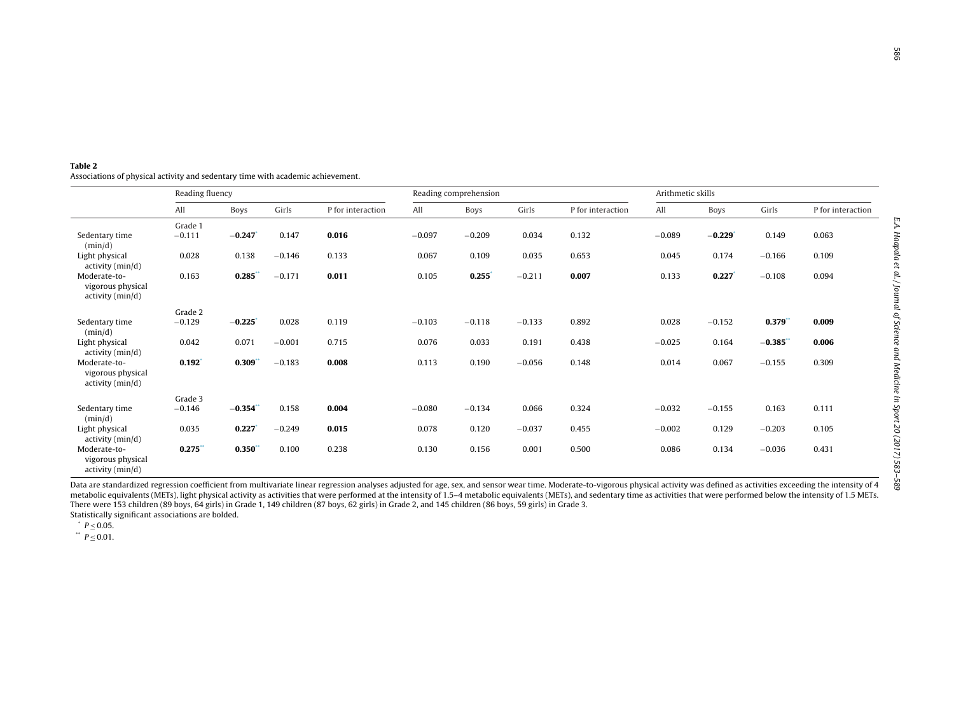<span id="page-3-0"></span>

| Table 2                                                                         |
|---------------------------------------------------------------------------------|
| Associations of physical activity and sedentary time with academic achievement. |

|                                                       | Reading fluency |            |          |                   | Reading comprehension |             |          |                   | Arithmetic skills |          |            |                   |
|-------------------------------------------------------|-----------------|------------|----------|-------------------|-----------------------|-------------|----------|-------------------|-------------------|----------|------------|-------------------|
|                                                       | All             | Boys       | Girls    | P for interaction | All                   | <b>Boys</b> | Girls    | P for interaction | All               | Boys     | Girls      | P for interaction |
|                                                       | Grade 1         |            |          |                   |                       |             |          |                   |                   |          |            |                   |
| Sedentary time<br>(min/d)                             | $-0.111$        | $-0.247$   | 0.147    | 0.016             | $-0.097$              | $-0.209$    | 0.034    | 0.132             | $-0.089$          | $-0.229$ | 0.149      | 0.063             |
| Light physical<br>activity (min/d)                    | 0.028           | 0.138      | $-0.146$ | 0.133             | 0.067                 | 0.109       | 0.035    | 0.653             | 0.045             | 0.174    | $-0.166$   | 0.109             |
| Moderate-to-<br>vigorous physical<br>activity (min/d) | 0.163           | 0.285      | $-0.171$ | 0.011             | 0.105                 | 0.255       | $-0.211$ | 0.007             | 0.133             | 0.227    | $-0.108$   | 0.094             |
|                                                       | Grade 2         |            |          |                   |                       |             |          |                   |                   |          |            |                   |
| Sedentary time<br>(min/d)                             | $-0.129$        | $-0.225$   | 0.028    | 0.119             | $-0.103$              | $-0.118$    | $-0.133$ | 0.892             | 0.028             | $-0.152$ | $0.379$ ** | 0.009             |
| Light physical<br>activity (min/d)                    | 0.042           | 0.071      | $-0.001$ | 0.715             | 0.076                 | 0.033       | 0.191    | 0.438             | $-0.025$          | 0.164    | $-0.385$   | 0.006             |
| Moderate-to-<br>vigorous physical<br>activity (min/d) | 0.192           | $0.309$ ** | $-0.183$ | 0.008             | 0.113                 | 0.190       | $-0.056$ | 0.148             | 0.014             | 0.067    | $-0.155$   | 0.309             |
|                                                       | Grade 3         |            |          |                   |                       |             |          |                   |                   |          |            |                   |
| Sedentary time<br>(min/d)                             | $-0.146$        | $-0.354$   | 0.158    | 0.004             | $-0.080$              | $-0.134$    | 0.066    | 0.324             | $-0.032$          | $-0.155$ | 0.163      | 0.111             |
| Light physical<br>activity (min/d)                    | 0.035           | 0.227      | $-0.249$ | 0.015             | 0.078                 | 0.120       | $-0.037$ | 0.455             | $-0.002$          | 0.129    | $-0.203$   | 0.105             |
| Moderate-to-<br>vigorous physical<br>activity (min/d) | $0.275$ **      | $0.350$ ** | 0.100    | 0.238             | 0.130                 | 0.156       | 0.001    | 0.500             | 0.086             | 0.134    | $-0.036$   | 0.431             |

Data are standardized regression coefficient from multivariate linear regression analyses adjusted for age, sex, and sensor wear time. Moderate-to-vigorous physical activity was defined as activities exceeding the intensit metabolic equivalents (METs), light physical activity as activities that were performed at the intensity of 1.5–4 metabolic equivalents (METs), and sedentary time as activities that were performed below the intensity of 1. There were 153 children (89 boys, 64 girls) in Grade 1, 149 children (87 boys, 62 girls) in Grade 2, and 145 children (86 boys, 59 girls) in Grade 3. Statistically significant associations are bolded.

 $p < 0.05$ .

 $p < 0.01$ .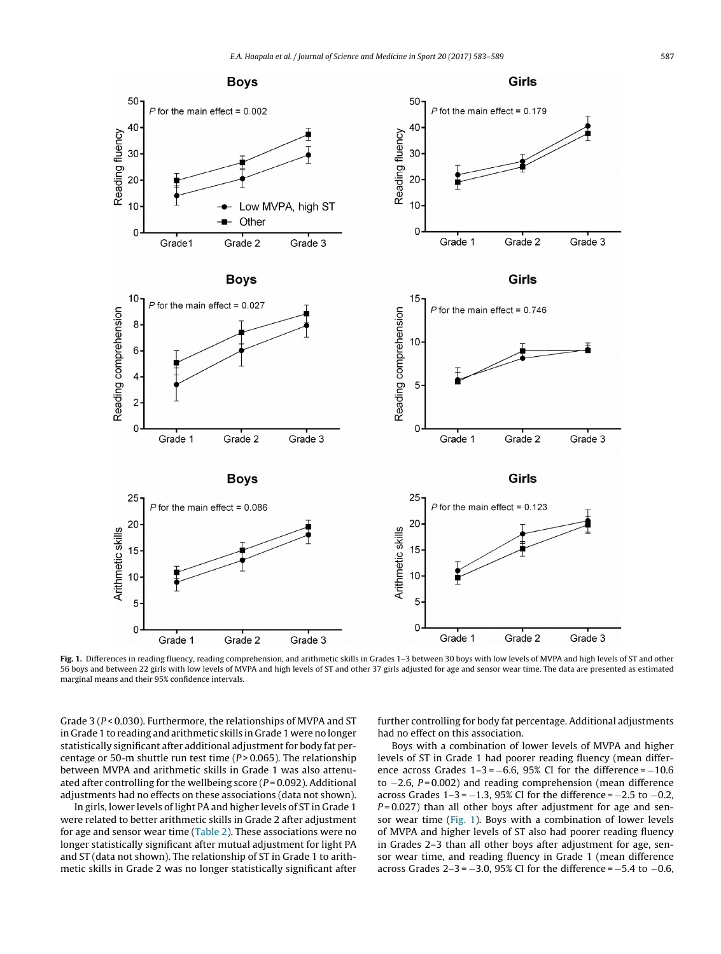

**Fig. 1.** Differences in reading fluency, reading comprehension, and arithmetic skills in Grades 1–3 between 30 boys with low levels of MVPA and high levels of ST and other 56 boys and between 22 girls with low levels of MVPA and high levels of ST and other 37 girls adjusted for age and sensor wear time. The data are presented as estimated marginal means and their 95% confidence intervals.

Grade 3 ( $P < 0.030$ ). Furthermore, the relationships of MVPA and ST in Grade 1 to reading and arithmetic skills in Grade 1 were no longer statistically significant after additional adjustment for body fat percentage or 50-m shuttle run test time ( $P > 0.065$ ). The relationship between MVPA and arithmetic skills in Grade 1 was also attenuated after controlling for the wellbeing score ( $P = 0.092$ ). Additional adjustments had no effects on these associations (data not shown).

In girls, lower levels of light PA and higher levels of ST in Grade 1 were related to better arithmetic skills in Grade 2 after adjustment for age and sensor wear time [\(Table](#page-3-0) 2). These associations were no longer statistically significant after mutual adjustment for light PA and ST (data not shown). The relationship of ST in Grade 1 to arithmetic skills in Grade 2 was no longer statistically significant after further controlling for body fat percentage. Additional adjustments had no effect on this association.

Boys with a combination of lower levels of MVPA and higher levels of ST in Grade 1 had poorer reading fluency (mean difference across Grades  $1-3 = -6.6$ , 95% CI for the difference =  $-10.6$ to −2.6, P = 0.002) and reading comprehension (mean difference across Grades  $1-3 = -1.3$ , 95% CI for the difference =  $-2.5$  to  $-0.2$ ,  $P = 0.027$ ) than all other boys after adjustment for age and sensor wear time (Fig. 1). Boys with a combination of lower levels of MVPA and higher levels of ST also had poorer reading fluency in Grades 2–3 than all other boys after adjustment for age, sensor wear time, and reading fluency in Grade 1 (mean difference across Grades  $2-3 = -3.0$ , 95% CI for the difference =  $-5.4$  to  $-0.6$ ,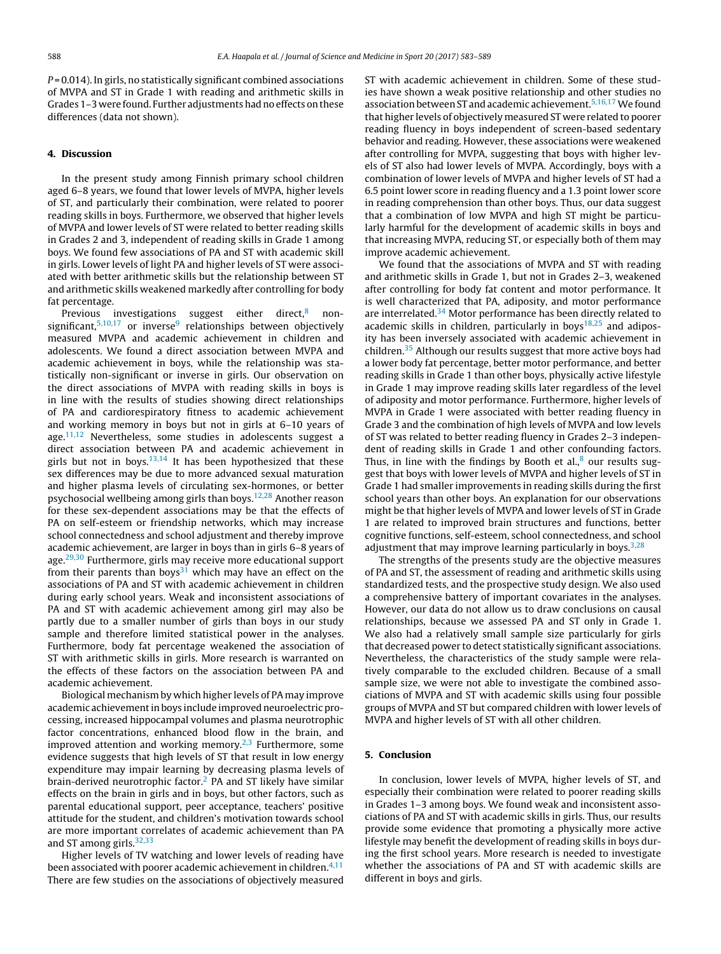$P = 0.014$ ). In girls, no statistically significant combined associations of MVPA and ST in Grade 1 with reading and arithmetic skills in Grades 1-3 were found. Further adjustments had no effects on these differences (data not shown).

## **4. Discussion**

In the present study among Finnish primary school children aged 6–8 years, we found that lower levels of MVPA, higher levels of ST, and particularly their combination, were related to poorer reading skills in boys. Furthermore, we observed that higher levels of MVPA and lower levels of ST were related to better reading skills in Grades 2 and 3, independent of reading skills in Grade 1 among boys. We found few associations of PA and ST with academic skill in girls. Lower levels of light PA and higher levels of ST were associated with better arithmetic skills but the relationship between ST and arithmetic skills weakened markedly after controlling for body fat percentage.

Previous investigations suggest either direct, $8$  nonsignificant, $5,10,17$  or inverse<sup>9</sup> relationships between objectively measured MVPA and academic achievement in children and adolescents. We found a direct association between MVPA and academic achievement in boys, while the relationship was statistically non-significant or inverse in girls. Our observation on the direct associations of MVPA with reading skills in boys is in line with the results of studies showing direct relationships of PA and cardiorespiratory fitness to academic achievement and working memory in boys but not in girls at 6–10 years of age. $11,12$  Nevertheless, some studies in adolescents suggest a direct association between PA and academic achievement in girls but not in boys. $13,14$  It has been hypothesized that these sex differences may be due to more advanced sexual maturation and higher plasma levels of circulating sex-hormones, or better psychosocial wellbeing among girls than boys.[12,28](#page-6-0) Another reason for these sex-dependent associations may be that the effects of PA on self-esteem or friendship networks, which may increase school connectedness and school adjustment and thereby improve academic achievement, are larger in boys than in girls 6–8 years of age.<sup>29,30</sup> Furthermore, girls may receive more educational support from their parents than boys<sup>31</sup> which may have an effect on the associations of PA and ST with academic achievement in children during early school years. Weak and inconsistent associations of PA and ST with academic achievement among girl may also be partly due to a smaller number of girls than boys in our study sample and therefore limited statistical power in the analyses. Furthermore, body fat percentage weakened the association of ST with arithmetic skills in girls. More research is warranted on the effects of these factors on the association between PA and academic achievement.

Biological mechanism by which higher levels of PA may improve academic achievementin boys include improved neuroelectric processing, increased hippocampal volumes and plasma neurotrophic factor concentrations, enhanced blood flow in the brain, and improved attention and working memory. $2,3$  Furthermore, some evidence suggests that high levels of ST that result in low energy expenditure may impair learning by decreasing plasma levels of brain-derived neurotrophic factor.<sup>[2](#page-6-0)</sup> PA and ST likely have similar effects on the brain in girls and in boys, but other factors, such as parental educational support, peer acceptance, teachers' positive attitude for the student, and children's motivation towards school are more important correlates of academic achievement than PA and ST among girls.<sup>32,33</sup>

Higher levels of TV watching and lower levels of reading have been associated with poorer academic achievement in children.<sup>[4,11](#page-6-0)</sup> There are few studies on the associations of objectively measured ST with academic achievement in children. Some of these studies have shown a weak positive relationship and other studies no association between ST and academic achievement.<sup>[5,16,17](#page-6-0)</sup> We found that higher levels of objectively measured ST were related to poorer reading fluency in boys independent of screen-based sedentary behavior and reading. However, these associations were weakened after controlling for MVPA, suggesting that boys with higher levels of ST also had lower levels of MVPA. Accordingly, boys with a combination of lower levels of MVPA and higher levels of ST had a 6.5 point lower score in reading fluency and a 1.3 point lower score in reading comprehension than other boys. Thus, our data suggest that a combination of low MVPA and high ST might be particularly harmful for the development of academic skills in boys and that increasing MVPA, reducing ST, or especially both of them may improve academic achievement.

We found that the associations of MVPA and ST with reading and arithmetic skills in Grade 1, but not in Grades 2–3, weakened after controlling for body fat content and motor performance. It is well characterized that PA, adiposity, and motor performance are interrelated. $34$  Motor performance has been directly related to academic skills in children, particularly in boys $18,25$  and adiposity has been inversely associated with academic achievement in children[.35](#page-6-0) Although our results suggest that more active boys had a lower body fat percentage, better motor performance, and better reading skills in Grade 1 than other boys, physically active lifestyle in Grade 1 may improve reading skills later regardless of the level of adiposity and motor performance. Furthermore, higher levels of MVPA in Grade 1 were associated with better reading fluency in Grade 3 and the combination of high levels of MVPA and low levels of ST was related to better reading fluency in Grades 2–3 independent of reading skills in Grade 1 and other confounding factors. Thus, in line with the findings by Booth et al., $8$  our results suggest that boys with lower levels of MVPA and higher levels of ST in Grade 1 had smaller improvements in reading skills during the first school years than other boys. An explanation for our observations might be that higher levels of MVPA and lower levels of ST in Grade 1 are related to improved brain structures and functions, better cognitive functions, self-esteem, school connectedness, and school adjustment that may improve learning particularly in boys.  $3,28$ 

The strengths of the presents study are the objective measures of PA and ST, the assessment of reading and arithmetic skills using standardized tests, and the prospective study design. We also used a comprehensive battery of important covariates in the analyses. However, our data do not allow us to draw conclusions on causal relationships, because we assessed PA and ST only in Grade 1. We also had a relatively small sample size particularly for girls that decreased power to detect statistically significant associations. Nevertheless, the characteristics of the study sample were relatively comparable to the excluded children. Because of a small sample size, we were not able to investigate the combined associations of MVPA and ST with academic skills using four possible groups of MVPA and ST but compared children with lower levels of MVPA and higher levels of ST with all other children.

## **5. Conclusion**

In conclusion, lower levels of MVPA, higher levels of ST, and especially their combination were related to poorer reading skills in Grades 1–3 among boys. We found weak and inconsistent associations of PA and ST with academic skills in girls. Thus, our results provide some evidence that promoting a physically more active lifestyle may benefit the development of reading skills in boys during the first school years. More research is needed to investigate whether the associations of PA and ST with academic skills are different in boys and girls.